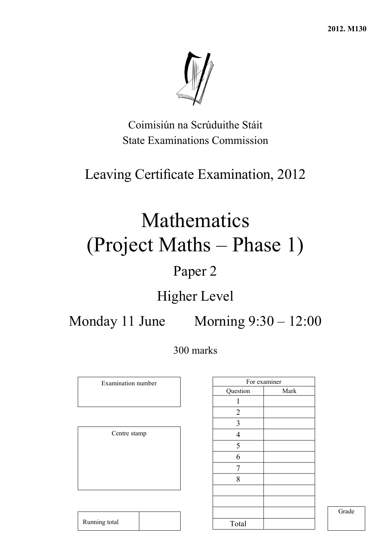**2012. M130** 



Coimisiún na Scrúduithe Stáit State Examinations Commission

# Leaving Certificate Examination, 2012

# Mathematics (Project Maths – Phase 1)

# Paper 2

# Higher Level

Monday 11 June Morning 9:30 – 12:00

300 marks

Examination number

Centre stamp

Running total

|                | For examiner |
|----------------|--------------|
| Question       | Mark         |
| 1              |              |
| $\overline{2}$ |              |
| 3              |              |
| $\overline{4}$ |              |
| 5              |              |
| 6              |              |
| 7              |              |
| 8              |              |
|                |              |
|                |              |
|                |              |
| Total          |              |

Grade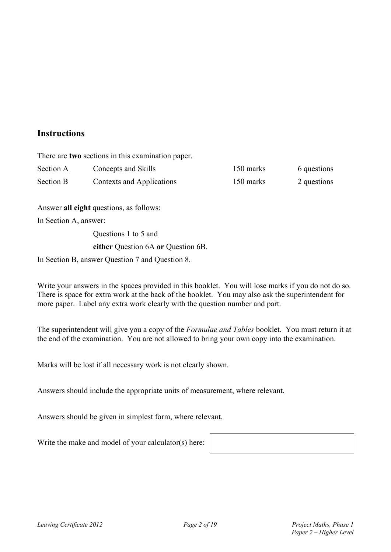### **Instructions**

There are **two** sections in this examination paper.

| Section A | Concepts and Skills       | 150 marks | 6 questions |
|-----------|---------------------------|-----------|-------------|
| Section B | Contexts and Applications | 150 marks | 2 questions |

Answer **all eight** questions, as follows:

In Section A, answer:

 Questions 1 to 5 and **either** Question 6A **or** Question 6B.

In Section B, answer Question 7 and Question 8.

Write your answers in the spaces provided in this booklet. You will lose marks if you do not do so. There is space for extra work at the back of the booklet. You may also ask the superintendent for more paper. Label any extra work clearly with the question number and part.

The superintendent will give you a copy of the *Formulae and Tables* booklet. You must return it at the end of the examination. You are not allowed to bring your own copy into the examination.

Marks will be lost if all necessary work is not clearly shown.

Answers should include the appropriate units of measurement, where relevant.

Answers should be given in simplest form, where relevant.

Write the make and model of your calculator(s) here: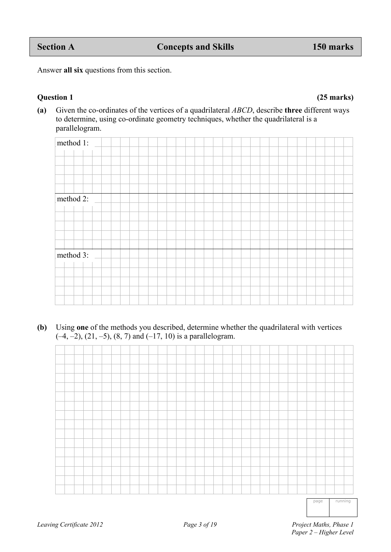Answer **all six** questions from this section.

#### **Question 1 (25 marks)**

**(a)** Given the co-ordinates of the vertices of a quadrilateral *ABCD*, describe **three** different ways to determine, using co-ordinate geometry techniques, whether the quadrilateral is a parallelogram.



**(b)** Using **one** of the methods you described, determine whether the quadrilateral with vertices  $(-4, -2)$ ,  $(21, -5)$ ,  $(8, 7)$  and  $(-17, 10)$  is a parallelogram.



page running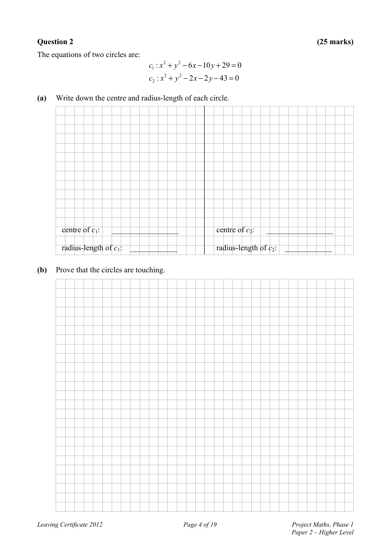### **Question 2 (25 marks)**

The equations of two circles are:

$$
c_1: x^2 + y^2 - 6x - 10y + 29 = 0
$$
  

$$
c_2: x^2 + y^2 - 2x - 2y - 43 = 0
$$

**(a)** Write down the centre and radius-length of each circle.

|  | centre of $c_1$ : |                          |  |  |  |  |  |  | centre of $c_2$ :        |  |  |  |  |  |  |  |
|--|-------------------|--------------------------|--|--|--|--|--|--|--------------------------|--|--|--|--|--|--|--|
|  |                   |                          |  |  |  |  |  |  |                          |  |  |  |  |  |  |  |
|  |                   | radius-length of $c_1$ : |  |  |  |  |  |  | radius-length of $c_2$ : |  |  |  |  |  |  |  |

**(b)** Prove that the circles are touching.

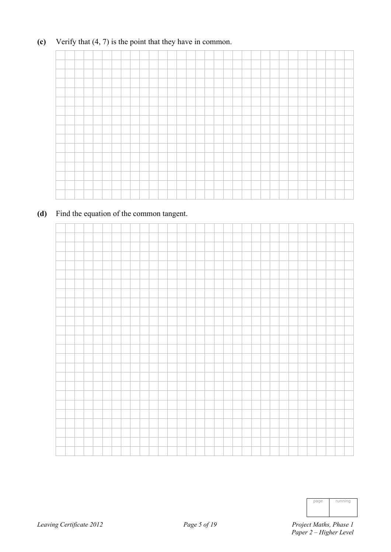### **(c)** Verify that (4, 7) is the point that they have in common.

### **(d)** Find the equation of the common tangent.

| page | running |
|------|---------|
|      |         |
|      |         |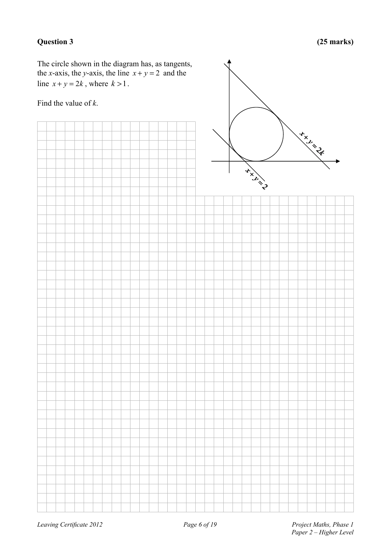### **Question 3 (25 marks)**

The circle shown in the diagram has, as tangents, the *x*-axis, the *y*-axis, the line  $x + y = 2$  and the line  $x + y = 2k$ , where  $k > 1$ .

#### Find the value of *k*.

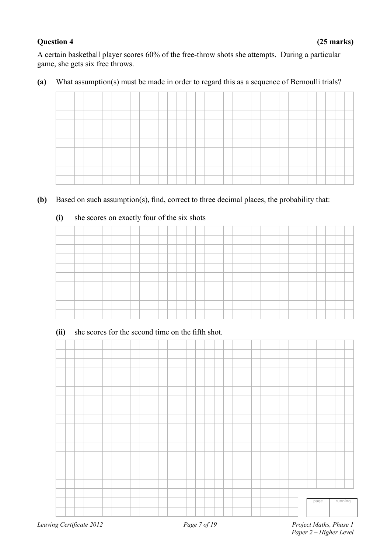#### **Question 4 (25 marks)**

A certain basketball player scores 60% of the free-throw shots she attempts. During a particular game, she gets six free throws.

**(a)** What assumption(s) must be made in order to regard this as a sequence of Bernoulli trials?

#### **(b)** Based on such assumption(s), find, correct to three decimal places, the probability that:

#### **(i)** she scores on exactly four of the six shots

#### **(ii)** she scores for the second time on the fifth shot.

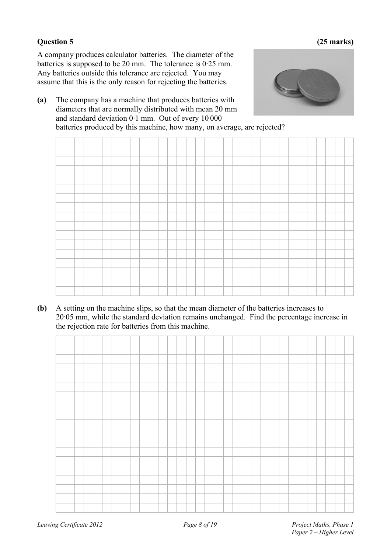#### **Question 5 (25 marks)**

A company produces calculator batteries. The diameter of the batteries is supposed to be 20 mm. The tolerance is 0·25 mm. Any batteries outside this tolerance are rejected. You may assume that this is the only reason for rejecting the batteries.

**(a)** The company has a machine that produces batteries with diameters that are normally distributed with mean 20 mm and standard deviation 0·1 mm. Out of every 10 000 batteries produced by this machine, how many, on average, are rejected?





**(b)** A setting on the machine slips, so that the mean diameter of the batteries increases to 20·05 mm, while the standard deviation remains unchanged. Find the percentage increase in the rejection rate for batteries from this machine.

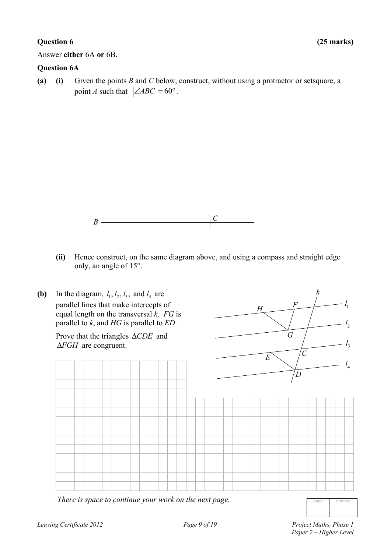Answer **either** 6A **or** 6B.

#### **Question 6A**

**(a) (i)** Given the points *B* and *C* below, construct, without using a protractor or setsquare, a point *A* such that  $|\angle ABC| = 60^\circ$ .



- **(ii)** Hence construct, on the same diagram above, and using a compass and straight edge only, an angle of 15°.
- page running **(b)** In the diagram,  $l_1$ ,  $l_2$ ,  $l_3$ , and  $l_4$  are parallel lines that make intercepts of equal length on the transversal *k*. *FG* is parallel to *k*, and *HG* is parallel to *ED*. Prove that the triangles Δ*CDE* and Δ*FGH* are congruent. 1 *l*  $-l<sub>2</sub>$ 3 *l*  $l_4$ *k C D E F G H There is space to continue your work on the next page.*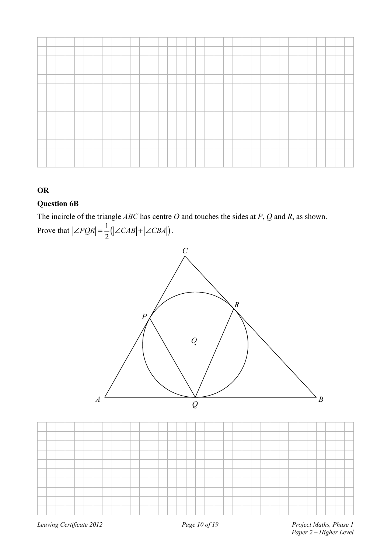#### **OR**

### **Question 6B**

The incircle of the triangle *ABC* has centre *O* and touches the sides at *P*, *Q* and *R*, as shown. Prove that  $|\angle PQR| = \frac{1}{2} (|\angle CAB| + |\angle CBA|)$  $\angle PQR = \frac{1}{2}(|\angle CAB| + |\angle CBA|)$ .



Ī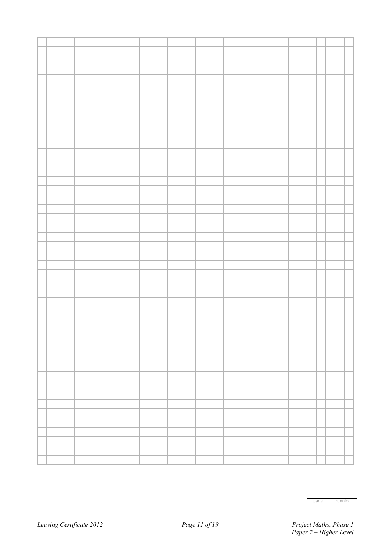| page | running |
|------|---------|
|      |         |
|      |         |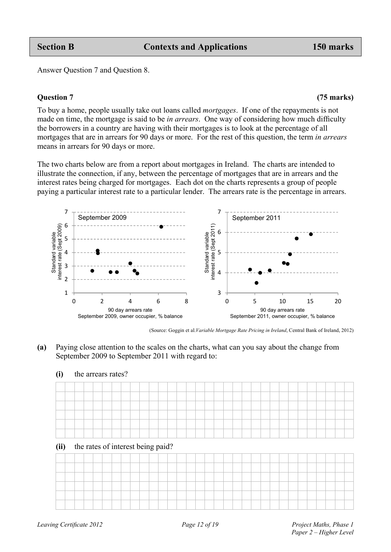Answer Question 7 and Question 8.

#### **Question 7 (75 marks)**

To buy a home, people usually take out loans called *mortgages*. If one of the repayments is not made on time, the mortgage is said to be *in arrears*. One way of considering how much difficulty the borrowers in a country are having with their mortgages is to look at the percentage of all mortgages that are in arrears for 90 days or more. For the rest of this question, the term *in arrears* means in arrears for 90 days or more.

The two charts below are from a report about mortgages in Ireland. The charts are intended to illustrate the connection, if any, between the percentage of mortgages that are in arrears and the interest rates being charged for mortgages. Each dot on the charts represents a group of people paying a particular interest rate to a particular lender. The arrears rate is the percentage in arrears.



(Source: Goggin et al.*Variable Mortgage Rate Pricing in Ireland*, Central Bank of Ireland, 2012)

**(a)** Paying close attention to the scales on the charts, what can you say about the change from September 2009 to September 2011 with regard to:

| (ii) |  |  |  |  | the rates of interest being paid? |  |  |  |  |  |  |  |  |  |  |  |
|------|--|--|--|--|-----------------------------------|--|--|--|--|--|--|--|--|--|--|--|
|      |  |  |  |  |                                   |  |  |  |  |  |  |  |  |  |  |  |
|      |  |  |  |  |                                   |  |  |  |  |  |  |  |  |  |  |  |
|      |  |  |  |  |                                   |  |  |  |  |  |  |  |  |  |  |  |
|      |  |  |  |  |                                   |  |  |  |  |  |  |  |  |  |  |  |
|      |  |  |  |  |                                   |  |  |  |  |  |  |  |  |  |  |  |
|      |  |  |  |  |                                   |  |  |  |  |  |  |  |  |  |  |  |

#### **(i)** the arrears rates?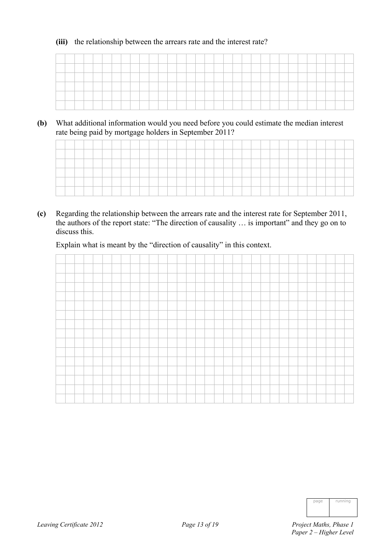#### **(iii)** the relationship between the arrears rate and the interest rate?

| <b>Services</b> |  |      |      |                                 |                                        |                                   |  |                                                 |                                           |    |  |                                     |  |      |  |  |  |        |  |
|-----------------|--|------|------|---------------------------------|----------------------------------------|-----------------------------------|--|-------------------------------------------------|-------------------------------------------|----|--|-------------------------------------|--|------|--|--|--|--------|--|
| ____            |  | ____ | ____ | the contract of the contract of | _____<br>the control of the control of | and the control of the control of |  | the contract of the contract of the contract of | ____<br>and the state of the state of the | __ |  | the contract of the contract of the |  | ____ |  |  |  |        |  |
|                 |  |      |      |                                 |                                        |                                   |  |                                                 |                                           |    |  |                                     |  |      |  |  |  | ______ |  |
|                 |  |      |      |                                 |                                        |                                   |  |                                                 |                                           |    |  |                                     |  |      |  |  |  |        |  |

**(b)** What additional information would you need before you could estimate the median interest rate being paid by mortgage holders in September 2011?

**(c)** Regarding the relationship between the arrears rate and the interest rate for September 2011, the authors of the report state: "The direction of causality … is important" and they go on to discuss this.

Explain what is meant by the "direction of causality" in this context.



| page | running |
|------|---------|
|      |         |
|      |         |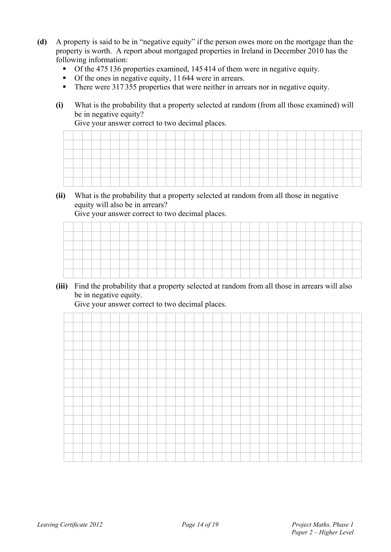- **(d)** A property is said to be in "negative equity" if the person owes more on the mortgage than the property is worth. A report about mortgaged properties in Ireland in December 2010 has the following information:
	- Of the 475 136 properties examined, 145 414 of them were in negative equity.
	- Of the ones in negative equity, 11 644 were in arrears.
	- There were 317355 properties that were neither in arrears nor in negative equity.
	- **(i)** What is the probability that a property selected at random (from all those examined) will be in negative equity?

Give your answer correct to two decimal places.

 **(ii)** What is the probability that a property selected at random from all those in negative equity will also be in arrears?

Give your answer correct to two decimal places.

| __ |  |  |      |  |  |  |  |  |  |  |  |       |  |  |  |          |
|----|--|--|------|--|--|--|--|--|--|--|--|-------|--|--|--|----------|
|    |  |  |      |  |  |  |  |  |  |  |  |       |  |  |  |          |
|    |  |  |      |  |  |  |  |  |  |  |  |       |  |  |  |          |
|    |  |  | ____ |  |  |  |  |  |  |  |  | _____ |  |  |  | ________ |
|    |  |  |      |  |  |  |  |  |  |  |  |       |  |  |  |          |

**(iii)** Find the probability that a property selected at random from all those in arrears will also be in negative equity.

Give your answer correct to two decimal places.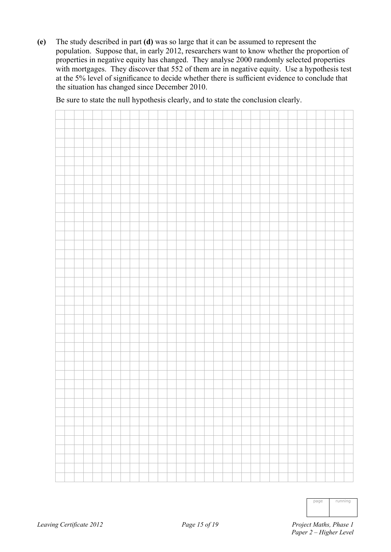**(e)** The study described in part **(d)** was so large that it can be assumed to represent the population. Suppose that, in early 2012, researchers want to know whether the proportion of properties in negative equity has changed. They analyse 2000 randomly selected properties with mortgages. They discover that 552 of them are in negative equity. Use a hypothesis test at the 5% level of significance to decide whether there is sufficient evidence to conclude that the situation has changed since December 2010.

Be sure to state the null hypothesis clearly, and to state the conclusion clearly.



| running<br>the contract of the contract of the contract of |
|------------------------------------------------------------|
|                                                            |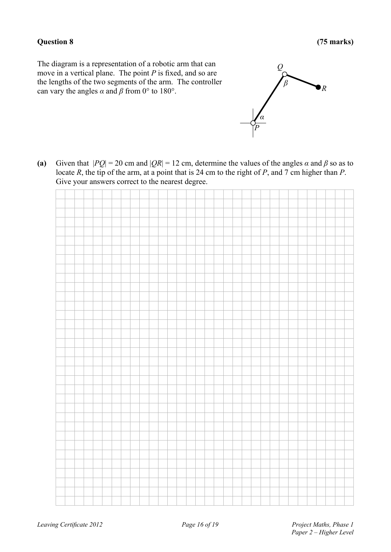The diagram is a representation of a robotic arm that can move in a vertical plane. The point *P* is fixed, and so are the lengths of the two segments of the arm. The controller can vary the angles  $\alpha$  and  $\beta$  from 0° to 180°.



(a) Given that  $|PQ| = 20$  cm and  $|QR| = 12$  cm, determine the values of the angles  $\alpha$  and  $\beta$  so as to locate *R*, the tip of the arm, at a point that is 24 cm to the right of *P*, and 7 cm higher than *P*. Give your answers correct to the nearest degree.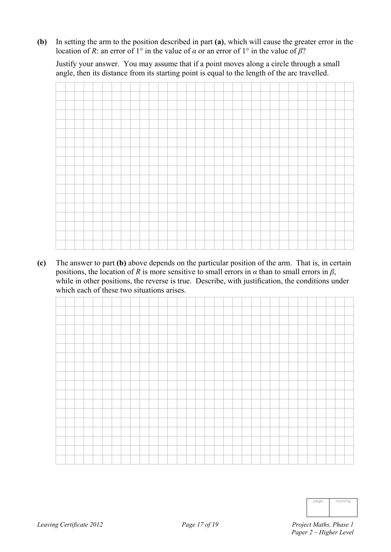**(b)** In setting the arm to the position described in part **(a)**, which will cause the greater error in the location of *R*: an error of 1<sup>°</sup> in the value of *α* or an error of 1<sup>°</sup> in the value of *β*?

 Justify your answer. You may assume that if a point moves along a circle through a small angle, then its distance from its starting point is equal to the length of the arc travelled.

**(c)** The answer to part **(b)** above depends on the particular position of the arm. That is, in certain positions, the location of *R* is more sensitive to small errors in  $\alpha$  than to small errors in  $\beta$ , while in other positions, the reverse is true. Describe, with justification, the conditions under which each of these two situations arises.



| page | running |
|------|---------|
|      |         |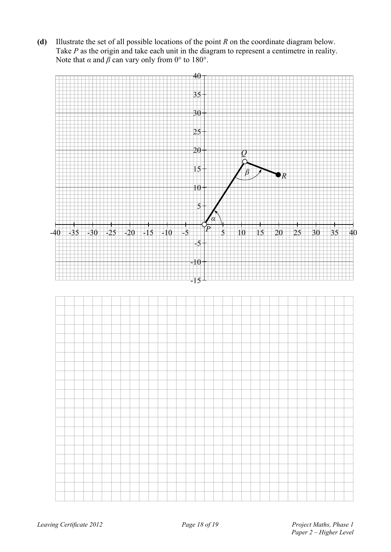**(d)** Illustrate the set of all possible locations of the point *R* on the coordinate diagram below. Take *P* as the origin and take each unit in the diagram to represent a centimetre in reality. Note that  $\alpha$  and  $\beta$  can vary only from 0° to 180°.

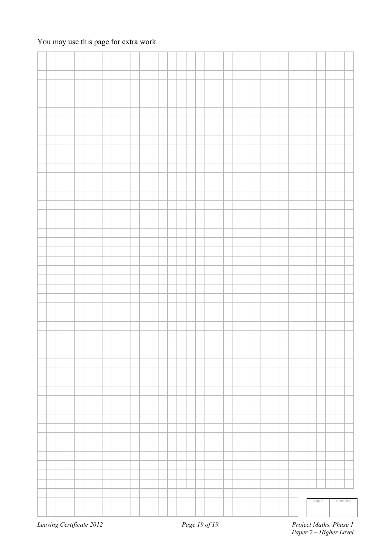### You may use this page for extra work.

|  |  |  |      |  |  |  |  |  |  |      |  |  |  |  |  | page | running |  |
|--|--|--|------|--|--|--|--|--|--|------|--|--|--|--|--|------|---------|--|
|  |  |  |      |  |  |  |  |  |  |      |  |  |  |  |  |      |         |  |
|  |  |  | 2011 |  |  |  |  |  |  | 0.10 |  |  |  |  |  |      |         |  |